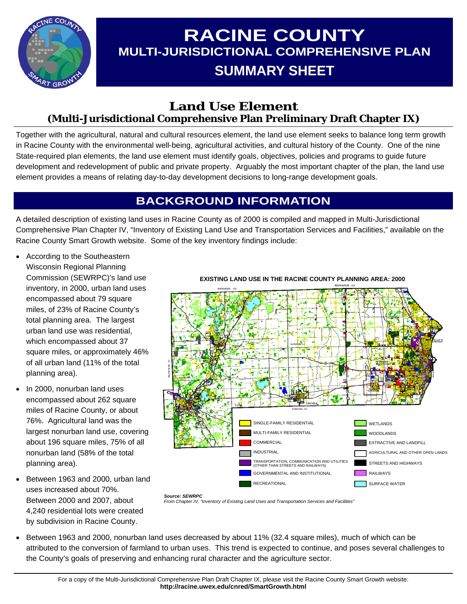

# **RACINE COUNTY MULTI-JURISDICTIONAL COMPREHENSIVE PLAN SUMMARY SHEET**

### **Land Use Element (Multi-Jurisdictional Comprehensive Plan Preliminary Draft Chapter IX)**

Together with the agricultural, natural and cultural resources element, the land use element seeks to balance long term growth in Racine County with the environmental well-being, agricultural activities, and cultural history of the County. One of the nine State-required plan elements, the land use element must identify goals, objectives, policies and programs to guide future development and redevelopment of public and private property. Arguably the most important chapter of the plan, the land use element provides a means of relating day-to-day development decisions to long-range development goals.

# **BACKGROUND INFORMATION**

A detailed description of existing land uses in Racine County as of 2000 is compiled and mapped in Multi-Jurisdictional Comprehensive Plan Chapter IV, "Inventory of Existing Land Use and Transportation Services and Facilities," available on the Racine County Smart Growth website. Some of the key inventory findings include:

- According to the Southeastern Wisconsin Regional Planning Commission (SEWRPC)'s land use inventory, in 2000, urban land uses encompassed about 79 square miles, of 23% of Racine County's total planning area. The largest urban land use was residential, which encompassed about 37 square miles, or approximately 46% of all urban land (11% of the total planning area).
- In 2000, nonurban land uses encompassed about 262 square miles of Racine County, or about 76%. Agricultural land was the largest nonurban land use, covering about 196 square miles, 75% of all nonurban land (58% of the total planning area).
- Between 1963 and 2000, urban land uses increased about 70%. Between 2000 and 2007, about 4,240 residential lots were created by subdivision in Racine County.



**EXISTING LAND USE IN THE RACINE COUNTY PLANNING AREA: 2000** 

- *Source: SEWRPC From Chapter IV, "Inventory of Existing Land Uses and Transportation Services and Facilities"*
- Between 1963 and 2000, nonurban land uses decreased by about 11% (32.4 square miles), much of which can be attributed to the conversion of farmland to urban uses. This trend is expected to continue, and poses several challenges to the County's goals of preserving and enhancing rural character and the agriculture sector.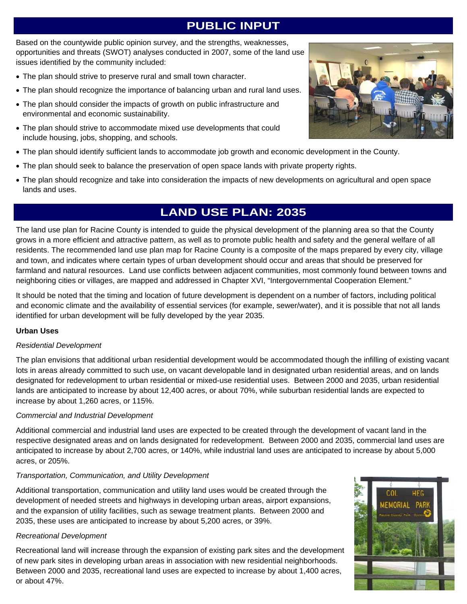# **PUBLIC INPUT**

Based on the countywide public opinion survey, and the strengths, weaknesses, opportunities and threats (SWOT) analyses conducted in 2007, some of the land use issues identified by the community included:

- The plan should strive to preserve rural and small town character.
- The plan should recognize the importance of balancing urban and rural land uses.
- The plan should consider the impacts of growth on public infrastructure and environmental and economic sustainability.
- The plan should strive to accommodate mixed use developments that could include housing, jobs, shopping, and schools.
- The plan should identify sufficient lands to accommodate job growth and economic development in the County.
- The plan should seek to balance the preservation of open space lands with private property rights.
- The plan should recognize and take into consideration the impacts of new developments on agricultural and open space lands and uses.

### **LAND USE PLAN: 2035**

The land use plan for Racine County is intended to guide the physical development of the planning area so that the County grows in a more efficient and attractive pattern, as well as to promote public health and safety and the general welfare of all residents. The recommended land use plan map for Racine County is a composite of the maps prepared by every city, village and town, and indicates where certain types of urban development should occur and areas that should be preserved for farmland and natural resources. Land use conflicts between adjacent communities, most commonly found between towns and neighboring cities or villages, are mapped and addressed in Chapter XVI, "Intergovernmental Cooperation Element."

It should be noted that the timing and location of future development is dependent on a number of factors, including political and economic climate and the availability of essential services (for example, sewer/water), and it is possible that not all lands identified for urban development will be fully developed by the year 2035.

#### **Urban Uses**

#### *Residential Development*

The plan envisions that additional urban residential development would be accommodated though the infilling of existing vacant lots in areas already committed to such use, on vacant developable land in designated urban residential areas, and on lands designated for redevelopment to urban residential or mixed-use residential uses. Between 2000 and 2035, urban residential lands are anticipated to increase by about 12,400 acres, or about 70%, while suburban residential lands are expected to increase by about 1,260 acres, or 115%.

#### *Commercial and Industrial Development*

Additional commercial and industrial land uses are expected to be created through the development of vacant land in the respective designated areas and on lands designated for redevelopment. Between 2000 and 2035, commercial land uses are anticipated to increase by about 2,700 acres, or 140%, while industrial land uses are anticipated to increase by about 5,000 acres, or 205%.

#### *Transportation, Communication, and Utility Development*

Additional transportation, communication and utility land uses would be created through the development of needed streets and highways in developing urban areas, airport expansions, and the expansion of utility facilities, such as sewage treatment plants. Between 2000 and 2035, these uses are anticipated to increase by about 5,200 acres, or 39%.

#### *Recreational Development*

Recreational land will increase through the expansion of existing park sites and the development of new park sites in developing urban areas in association with new residential neighborhoods. Between 2000 and 2035, recreational land uses are expected to increase by about 1,400 acres, or about 47%.



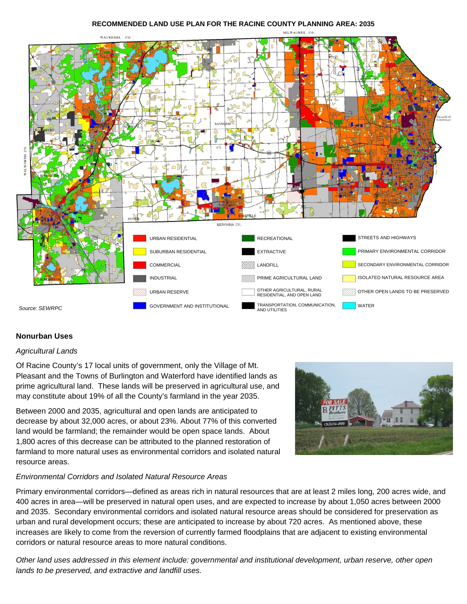#### **RECOMMENDED LAND USE PLAN FOR THE RACINE COUNTY PLANNING AREA: 2035**



#### **Nonurban Uses**

#### *Agricultural Lands*

Of Racine County's 17 local units of government, only the Village of Mt. Pleasant and the Towns of Burlington and Waterford have identified lands as prime agricultural land. These lands will be preserved in agricultural use, and may constitute about 19% of all the County's farmland in the year 2035.

Between 2000 and 2035, agricultural and open lands are anticipated to decrease by about 32,000 acres, or about 23%. About 77% of this converted land would be farmland; the remainder would be open space lands. About 1,800 acres of this decrease can be attributed to the planned restoration of farmland to more natural uses as environmental corridors and isolated natural resource areas.



#### *Environmental Corridors and Isolated Natural Resource Areas*

Primary environmental corridors—defined as areas rich in natural resources that are at least 2 miles long, 200 acres wide, and 400 acres in area—will be preserved in natural open uses, and are expected to increase by about 1,050 acres between 2000 and 2035. Secondary environmental corridors and isolated natural resource areas should be considered for preservation as urban and rural development occurs; these are anticipated to increase by about 720 acres. As mentioned above, these increases are likely to come from the reversion of currently farmed floodplains that are adjacent to existing environmental corridors or natural resource areas to more natural conditions.

*Other land uses addressed in this element include: governmental and institutional development, urban reserve, other open lands to be preserved, and extractive and landfill uses.*